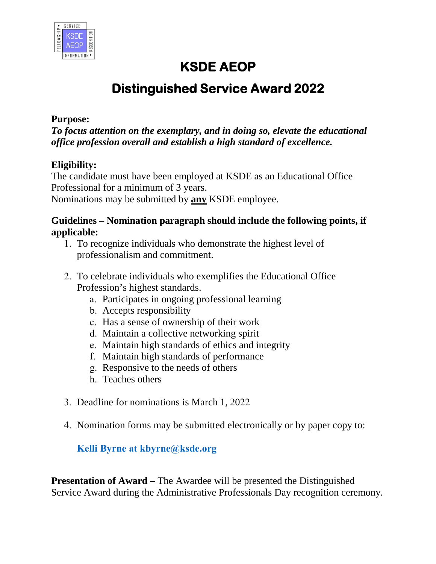

## **KSDE AEOP**

# **Distinguished Service Award 2022**

#### **Purpose:**

*To focus attention on the exemplary, and in doing so, elevate the educational office profession overall and establish a high standard of excellence.* 

#### **Eligibility:**

The candidate must have been employed at KSDE as an Educational Office Professional for a minimum of 3 years. Nominations may be submitted by **any** KSDE employee.

#### **Guidelines – Nomination paragraph should include the following points, if applicable:**

- 1. To recognize individuals who demonstrate the highest level of professionalism and commitment.
- 2. To celebrate individuals who exemplifies the Educational Office Profession's highest standards.
	- a. Participates in ongoing professional learning
	- b. Accepts responsibility
	- c. Has a sense of ownership of their work
	- d. Maintain a collective networking spirit
	- e. Maintain high standards of ethics and integrity
	- f. Maintain high standards of performance
	- g. Responsive to the needs of others
	- h. Teaches others
- 3. Deadline for nominations is March 1, 2022
- 4. Nomination forms may be submitted electronically or by paper copy to:

#### **Kelli Byrne at kbyrne@ksde.org**

**Presentation of Award – The Awardee will be presented the Distinguished** Service Award during the Administrative Professionals Day recognition ceremony.